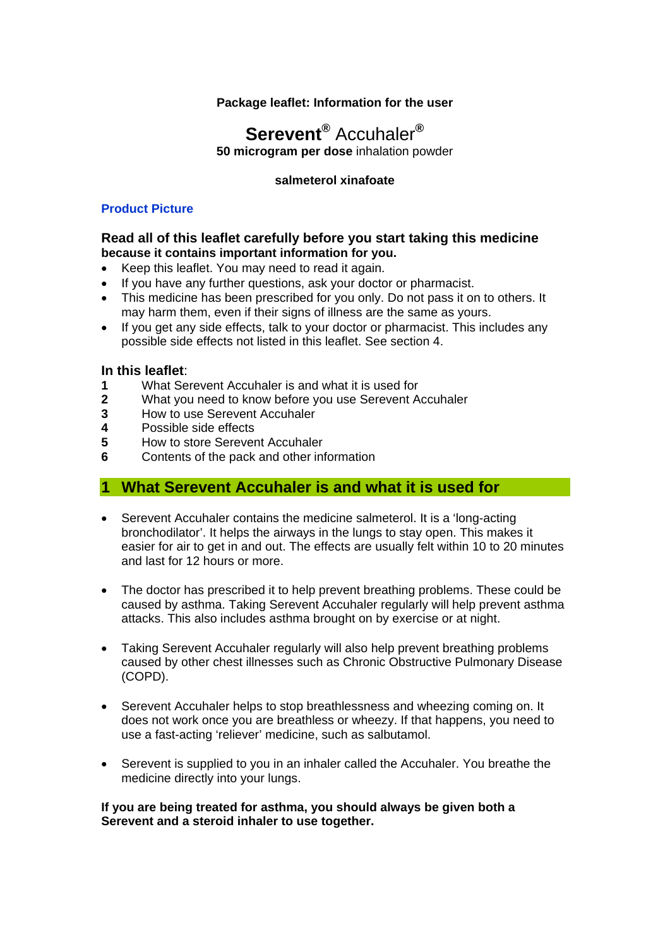## **Package leaflet: Information for the user**

# **Serevent®** Accuhaler**®**

**50 microgram per dose** inhalation powder

### **salmeterol xinafoate**

### **Product Picture**

#### **Read all of this leaflet carefully before you start taking this medicine because it contains important information for you.**

- Keep this leaflet. You may need to read it again.
- If you have any further questions, ask your doctor or pharmacist.
- This medicine has been prescribed for you only. Do not pass it on to others. It may harm them, even if their signs of illness are the same as yours.
- If you get any side effects, talk to your doctor or pharmacist. This includes any possible side effects not listed in this leaflet. See section 4.

## **In this leaflet**:

- **1** What Serevent Accuhaler is and what it is used for
- **2** What you need to know before you use Serevent Accuhaler
- **3** How to use Serevent Accuhaler
- **4** Possible side effects
- **5** How to store Serevent Accuhaler
- **6** Contents of the pack and other information

## **1 What Serevent Accuhaler is and what it is used for**

- Serevent Accuhaler contains the medicine salmeterol. It is a 'long-acting bronchodilator'. It helps the airways in the lungs to stay open. This makes it easier for air to get in and out. The effects are usually felt within 10 to 20 minutes and last for 12 hours or more.
- The doctor has prescribed it to help prevent breathing problems. These could be caused by asthma. Taking Serevent Accuhaler regularly will help prevent asthma attacks. This also includes asthma brought on by exercise or at night.
- Taking Serevent Accuhaler regularly will also help prevent breathing problems caused by other chest illnesses such as Chronic Obstructive Pulmonary Disease (COPD).
- Serevent Accuhaler helps to stop breathlessness and wheezing coming on. It does not work once you are breathless or wheezy. If that happens, you need to use a fast-acting 'reliever' medicine, such as salbutamol.
- Serevent is supplied to you in an inhaler called the Accuhaler. You breathe the medicine directly into your lungs.

**If you are being treated for asthma, you should always be given both a Serevent and a steroid inhaler to use together.**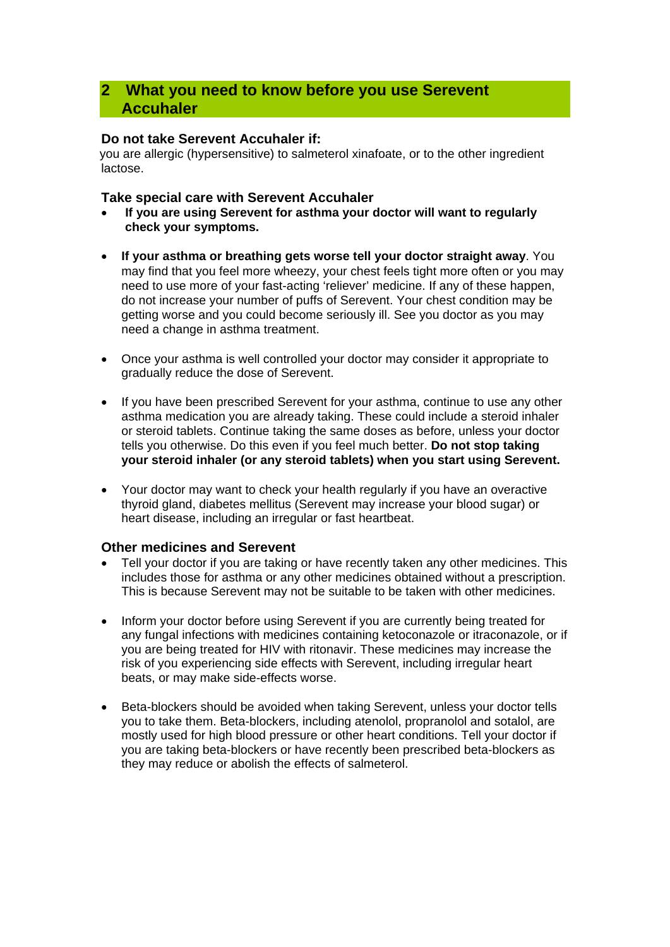# **2 What you need to know before you use Serevent Accuhaler**

## **Do not take Serevent Accuhaler if:**

you are allergic (hypersensitive) to salmeterol xinafoate, or to the other ingredient lactose.

## **Take special care with Serevent Accuhaler**

- **If you are using Serevent for asthma your doctor will want to regularly check your symptoms.**
- **If your asthma or breathing gets worse tell your doctor straight away**. You may find that you feel more wheezy, your chest feels tight more often or you may need to use more of your fast-acting 'reliever' medicine. If any of these happen, do not increase your number of puffs of Serevent. Your chest condition may be getting worse and you could become seriously ill. See you doctor as you may need a change in asthma treatment.
- Once your asthma is well controlled your doctor may consider it appropriate to gradually reduce the dose of Serevent.
- If you have been prescribed Serevent for your asthma, continue to use any other asthma medication you are already taking. These could include a steroid inhaler or steroid tablets. Continue taking the same doses as before, unless your doctor tells you otherwise. Do this even if you feel much better. **Do not stop taking your steroid inhaler (or any steroid tablets) when you start using Serevent.**
- Your doctor may want to check your health regularly if you have an overactive thyroid gland, diabetes mellitus (Serevent may increase your blood sugar) or heart disease, including an irregular or fast heartbeat.

## **Other medicines and Serevent**

- Tell your doctor if you are taking or have recently taken any other medicines. This includes those for asthma or any other medicines obtained without a prescription. This is because Serevent may not be suitable to be taken with other medicines.
- Inform your doctor before using Serevent if you are currently being treated for any fungal infections with medicines containing ketoconazole or itraconazole, or if you are being treated for HIV with ritonavir. These medicines may increase the risk of you experiencing side effects with Serevent, including irregular heart beats, or may make side-effects worse.
- Beta-blockers should be avoided when taking Serevent, unless your doctor tells you to take them. Beta-blockers, including atenolol, propranolol and sotalol, are mostly used for high blood pressure or other heart conditions. Tell your doctor if you are taking beta-blockers or have recently been prescribed beta-blockers as they may reduce or abolish the effects of salmeterol.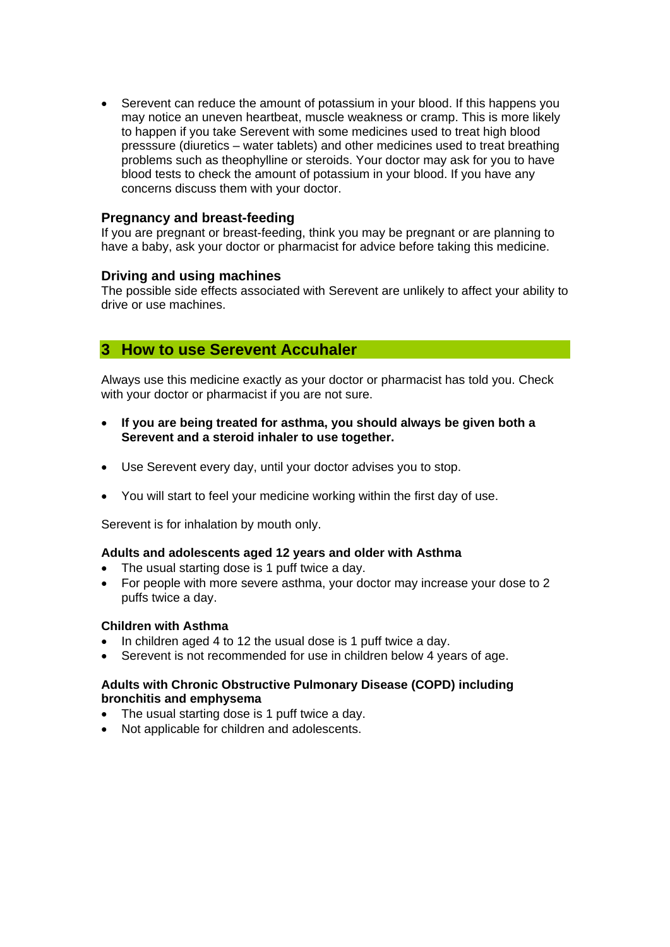Serevent can reduce the amount of potassium in your blood. If this happens you may notice an uneven heartbeat, muscle weakness or cramp. This is more likely to happen if you take Serevent with some medicines used to treat high blood presssure (diuretics – water tablets) and other medicines used to treat breathing problems such as theophylline or steroids. Your doctor may ask for you to have blood tests to check the amount of potassium in your blood. If you have any concerns discuss them with your doctor.

## **Pregnancy and breast-feeding**

If you are pregnant or breast-feeding, think you may be pregnant or are planning to have a baby, ask your doctor or pharmacist for advice before taking this medicine.

### **Driving and using machines**

The possible side effects associated with Serevent are unlikely to affect your ability to drive or use machines.

# **3 How to use Serevent Accuhaler**

Always use this medicine exactly as your doctor or pharmacist has told you. Check with your doctor or pharmacist if you are not sure.

- **If you are being treated for asthma, you should always be given both a Serevent and a steroid inhaler to use together.**
- Use Serevent every day, until your doctor advises you to stop.
- You will start to feel your medicine working within the first day of use.

Serevent is for inhalation by mouth only.

### **Adults and adolescents aged 12 years and older with Asthma**

- The usual starting dose is 1 puff twice a day.
- For people with more severe asthma, your doctor may increase your dose to 2 puffs twice a day.

### **Children with Asthma**

- In children aged 4 to 12 the usual dose is 1 puff twice a day.
- Serevent is not recommended for use in children below 4 years of age.

### **Adults with Chronic Obstructive Pulmonary Disease (COPD) including bronchitis and emphysema**

- The usual starting dose is 1 puff twice a day.
- Not applicable for children and adolescents.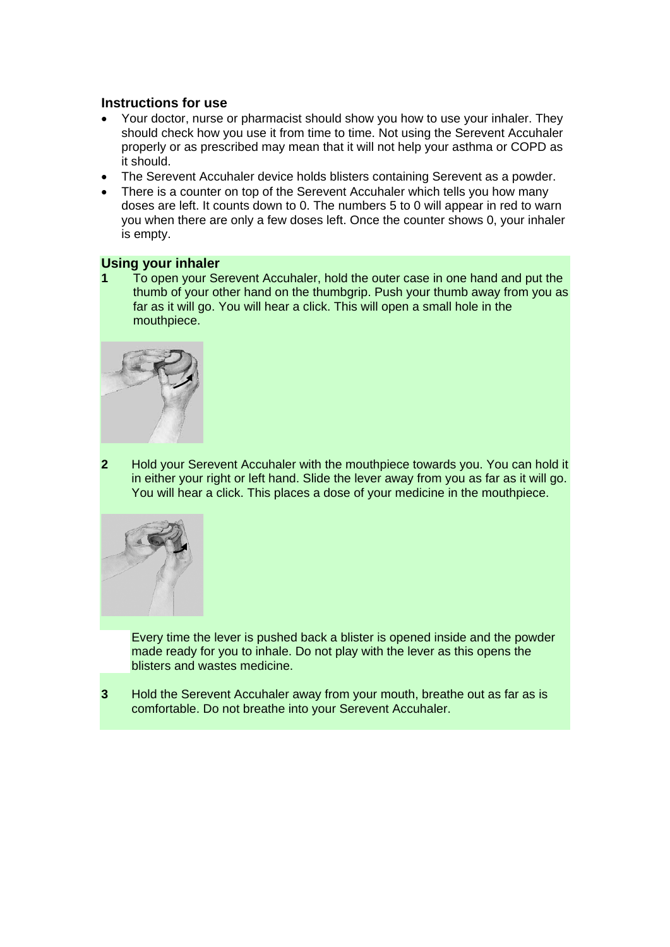## **Instructions for use**

- Your doctor, nurse or pharmacist should show you how to use your inhaler. They should check how you use it from time to time. Not using the Serevent Accuhaler properly or as prescribed may mean that it will not help your asthma or COPD as it should.
- The Serevent Accuhaler device holds blisters containing Serevent as a powder.
- There is a counter on top of the Serevent Accuhaler which tells you how many doses are left. It counts down to 0. The numbers 5 to 0 will appear in red to warn you when there are only a few doses left. Once the counter shows 0, your inhaler is empty.

### **Using your inhaler**

**1** To open your Serevent Accuhaler, hold the outer case in one hand and put the thumb of your other hand on the thumbgrip. Push your thumb away from you as far as it will go. You will hear a click. This will open a small hole in the mouthpiece.



**2** Hold your Serevent Accuhaler with the mouthpiece towards you. You can hold it in either your right or left hand. Slide the lever away from you as far as it will go. You will hear a click. This places a dose of your medicine in the mouthpiece.



Every time the lever is pushed back a blister is opened inside and the powder made ready for you to inhale. Do not play with the lever as this opens the blisters and wastes medicine.

**3** Hold the Serevent Accuhaler away from your mouth, breathe out as far as is comfortable. Do not breathe into your Serevent Accuhaler.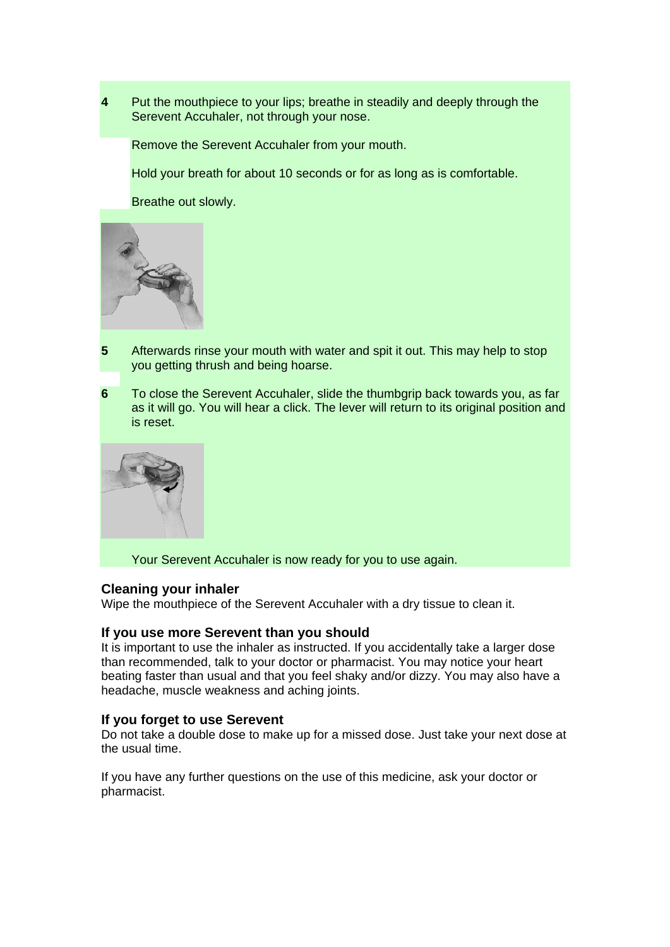**4** Put the mouthpiece to your lips; breathe in steadily and deeply through the Serevent Accuhaler, not through your nose.

Remove the Serevent Accuhaler from your mouth.

Hold your breath for about 10 seconds or for as long as is comfortable.

Breathe out slowly.



- **5** Afterwards rinse your mouth with water and spit it out. This may help to stop you getting thrush and being hoarse.
- **6** To close the Serevent Accuhaler, slide the thumbgrip back towards you, as far as it will go. You will hear a click. The lever will return to its original position and is reset.



Your Serevent Accuhaler is now ready for you to use again.

#### **Cleaning your inhaler**

Wipe the mouthpiece of the Serevent Accuhaler with a dry tissue to clean it.

#### **If you use more Serevent than you should**

It is important to use the inhaler as instructed. If you accidentally take a larger dose than recommended, talk to your doctor or pharmacist. You may notice your heart beating faster than usual and that you feel shaky and/or dizzy. You may also have a headache, muscle weakness and aching joints.

#### **If you forget to use Serevent**

Do not take a double dose to make up for a missed dose. Just take your next dose at the usual time.

If you have any further questions on the use of this medicine, ask your doctor or pharmacist.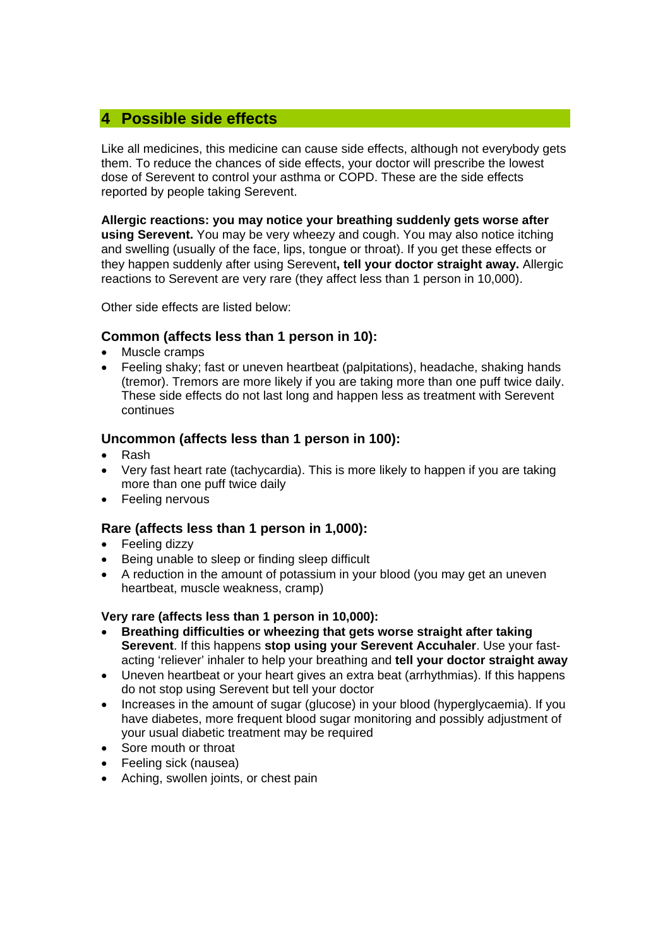# **4 Possible side effects**

Like all medicines, this medicine can cause side effects, although not everybody gets them. To reduce the chances of side effects, your doctor will prescribe the lowest dose of Serevent to control your asthma or COPD. These are the side effects reported by people taking Serevent.

**Allergic reactions: you may notice your breathing suddenly gets worse after using Serevent.** You may be very wheezy and cough. You may also notice itching and swelling (usually of the face, lips, tongue or throat). If you get these effects or they happen suddenly after using Serevent**, tell your doctor straight away.** Allergic reactions to Serevent are very rare (they affect less than 1 person in 10,000).

Other side effects are listed below:

## **Common (affects less than 1 person in 10):**

- Muscle cramps
- Feeling shaky; fast or uneven heartbeat (palpitations), headache, shaking hands (tremor). Tremors are more likely if you are taking more than one puff twice daily. These side effects do not last long and happen less as treatment with Serevent continues

## **Uncommon (affects less than 1 person in 100):**

- Rash
- Very fast heart rate (tachycardia). This is more likely to happen if you are taking more than one puff twice daily
- Feeling nervous

## **Rare (affects less than 1 person in 1,000):**

- Feeling dizzy
- Being unable to sleep or finding sleep difficult
- A reduction in the amount of potassium in your blood (you may get an uneven heartbeat, muscle weakness, cramp)

### **Very rare (affects less than 1 person in 10,000):**

- **Breathing difficulties or wheezing that gets worse straight after taking Serevent**. If this happens **stop using your Serevent Accuhaler**. Use your fastacting 'reliever' inhaler to help your breathing and **tell your doctor straight away**
- Uneven heartbeat or your heart gives an extra beat (arrhythmias). If this happens do not stop using Serevent but tell your doctor
- Increases in the amount of sugar (glucose) in your blood (hyperglycaemia). If you have diabetes, more frequent blood sugar monitoring and possibly adjustment of your usual diabetic treatment may be required
- Sore mouth or throat
- Feeling sick (nausea)
- Aching, swollen joints, or chest pain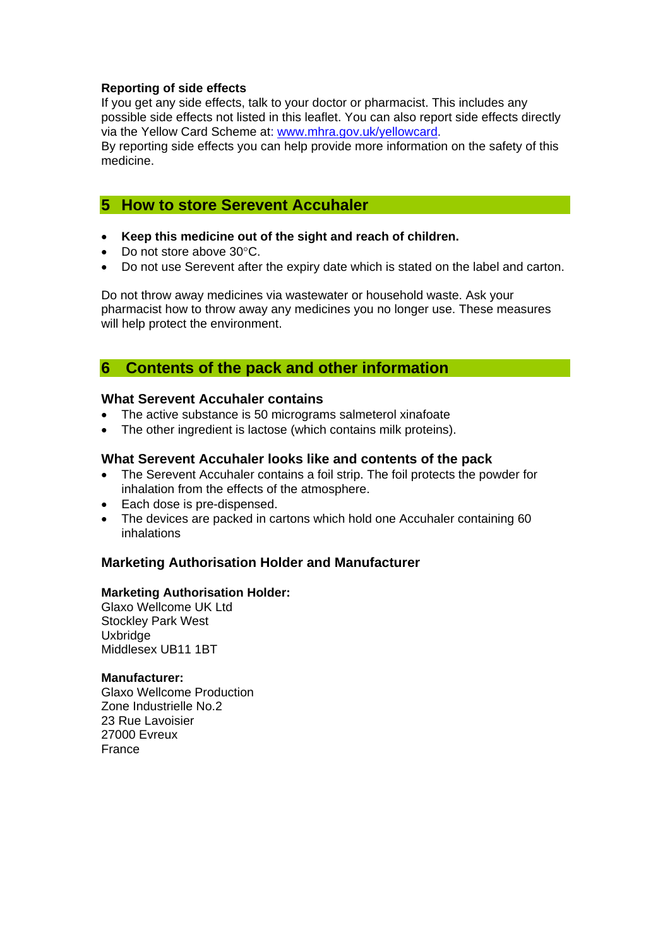#### **Reporting of side effects**

If you get any side effects, talk to your doctor or pharmacist. This includes any possible side effects not listed in this leaflet. You can also report side effects directly via the Yellow Card Scheme at: [www.mhra.gov.uk/yellowcard.](http://www.mhra.gov.uk/yellowcard)

By reporting side effects you can help provide more information on the safety of this medicine.

# **5 How to store Serevent Accuhaler**

- **Keep this medicine out of the sight and reach of children.**
- Do not store above 30°C.
- Do not use Serevent after the expiry date which is stated on the label and carton.

Do not throw away medicines via wastewater or household waste. Ask your pharmacist how to throw away any medicines you no longer use. These measures will help protect the environment.

# **6 Contents of the pack and other information**

#### **What Serevent Accuhaler contains**

- The active substance is 50 micrograms salmeterol xinafoate
- The other ingredient is lactose (which contains milk proteins).

#### **What Serevent Accuhaler looks like and contents of the pack**

- The Serevent Accuhaler contains a foil strip. The foil protects the powder for inhalation from the effects of the atmosphere.
- Each dose is pre-dispensed.
- The devices are packed in cartons which hold one Accuhaler containing 60 inhalations

### **Marketing Authorisation Holder and Manufacturer**

#### **Marketing Authorisation Holder:**

Glaxo Wellcome UK Ltd Stockley Park West **Uxbridge** Middlesex UB11 1BT

#### **Manufacturer:**

Glaxo Wellcome Production Zone Industrielle No.2 23 Rue Lavoisier 27000 Evreux France